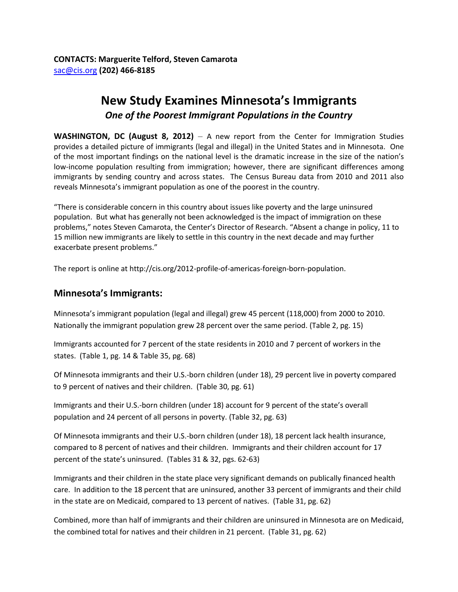## **New Study Examines Minnesota's Immigrants**  *One of the Poorest Immigrant Populations in the Country*

**WASHINGTON, DC (August 8, 2012)** – A new report from the Center for Immigration Studies provides a detailed picture of immigrants (legal and illegal) in the United States and in Minnesota. One of the most important findings on the national level is the dramatic increase in the size of the nation's low-income population resulting from immigration; however, there are significant differences among immigrants by sending country and across states. The Census Bureau data from 2010 and 2011 also reveals Minnesota's immigrant population as one of the poorest in the country.

"There is considerable concern in this country about issues like poverty and the large uninsured population. But what has generally not been acknowledged is the impact of immigration on these problems," notes Steven Camarota, the Center's Director of Research. "Absent a change in policy, 11 to 15 million new immigrants are likely to settle in this country in the next decade and may further exacerbate present problems."

The report is online at http://cis.org/2012-profile-of-americas-foreign-born-population.

## **Minnesota's Immigrants:**

Minnesota's immigrant population (legal and illegal) grew 45 percent (118,000) from 2000 to 2010. Nationally the immigrant population grew 28 percent over the same period. (Table 2, pg. 15)

Immigrants accounted for 7 percent of the state residents in 2010 and 7 percent of workers in the states. (Table 1, pg. 14 & Table 35, pg. 68)

Of Minnesota immigrants and their U.S.-born children (under 18), 29 percent live in poverty compared to 9 percent of natives and their children. (Table 30, pg. 61)

Immigrants and their U.S.-born children (under 18) account for 9 percent of the state's overall population and 24 percent of all persons in poverty. (Table 32, pg. 63)

Of Minnesota immigrants and their U.S.-born children (under 18), 18 percent lack health insurance, compared to 8 percent of natives and their children. Immigrants and their children account for 17 percent of the state's uninsured. (Tables 31 & 32, pgs. 62-63)

Immigrants and their children in the state place very significant demands on publically financed health care. In addition to the 18 percent that are uninsured, another 33 percent of immigrants and their child in the state are on Medicaid, compared to 13 percent of natives. (Table 31, pg. 62)

Combined, more than half of immigrants and their children are uninsured in Minnesota are on Medicaid, the combined total for natives and their children in 21 percent. (Table 31, pg. 62)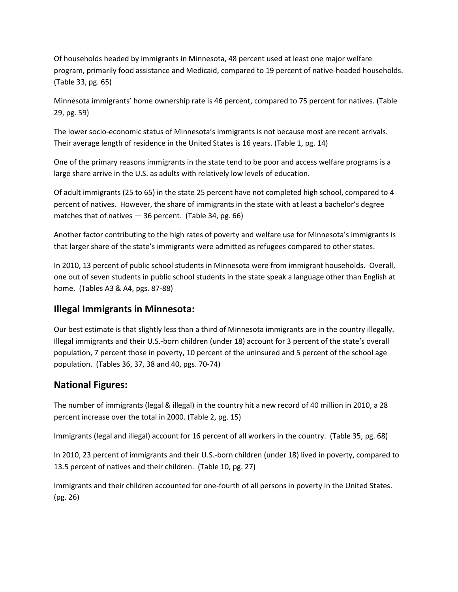Of households headed by immigrants in Minnesota, 48 percent used at least one major welfare program, primarily food assistance and Medicaid, compared to 19 percent of native-headed households. (Table 33, pg. 65)

Minnesota immigrants' home ownership rate is 46 percent, compared to 75 percent for natives. (Table 29, pg. 59)

The lower socio-economic status of Minnesota's immigrants is not because most are recent arrivals. Their average length of residence in the United States is 16 years. (Table 1, pg. 14)

One of the primary reasons immigrants in the state tend to be poor and access welfare programs is a large share arrive in the U.S. as adults with relatively low levels of education.

Of adult immigrants (25 to 65) in the state 25 percent have not completed high school, compared to 4 percent of natives. However, the share of immigrants in the state with at least a bachelor's degree matches that of natives — 36 percent. (Table 34, pg. 66)

Another factor contributing to the high rates of poverty and welfare use for Minnesota's immigrants is that larger share of the state's immigrants were admitted as refugees compared to other states.

In 2010, 13 percent of public school students in Minnesota were from immigrant households. Overall, one out of seven students in public school students in the state speak a language other than English at home. (Tables A3 & A4, pgs. 87-88)

## **Illegal Immigrants in Minnesota:**

Our best estimate is that slightly less than a third of Minnesota immigrants are in the country illegally. Illegal immigrants and their U.S.-born children (under 18) account for 3 percent of the state's overall population, 7 percent those in poverty, 10 percent of the uninsured and 5 percent of the school age population. (Tables 36, 37, 38 and 40, pgs. 70-74)

## **National Figures:**

The number of immigrants (legal & illegal) in the country hit a new record of 40 million in 2010, a 28 percent increase over the total in 2000. (Table 2, pg. 15)

Immigrants (legal and illegal) account for 16 percent of all workers in the country. (Table 35, pg. 68)

In 2010, 23 percent of immigrants and their U.S.-born children (under 18) lived in poverty, compared to 13.5 percent of natives and their children. (Table 10, pg. 27)

Immigrants and their children accounted for one-fourth of all persons in poverty in the United States. (pg. 26)